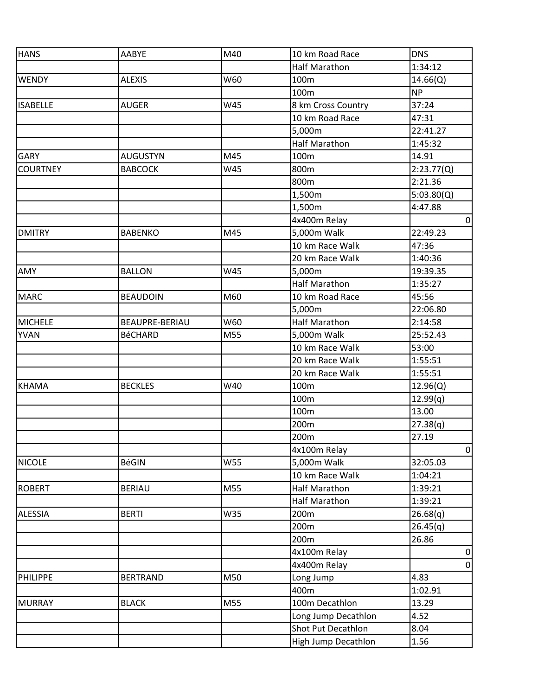| <b>HANS</b>     | AABYE           | M40 | 10 km Road Race      | <b>DNS</b>     |
|-----------------|-----------------|-----|----------------------|----------------|
|                 |                 |     | <b>Half Marathon</b> | 1:34:12        |
| <b>WENDY</b>    | <b>ALEXIS</b>   | W60 | 100m                 | 14.66(Q)       |
|                 |                 |     | 100m                 | <b>NP</b>      |
| <b>ISABELLE</b> | <b>AUGER</b>    | W45 | 8 km Cross Country   | 37:24          |
|                 |                 |     | 10 km Road Race      | 47:31          |
|                 |                 |     | 5,000m               | 22:41.27       |
|                 |                 |     | <b>Half Marathon</b> | 1:45:32        |
| <b>GARY</b>     | <b>AUGUSTYN</b> | M45 | 100m                 | 14.91          |
| <b>COURTNEY</b> | <b>BABCOCK</b>  | W45 | 800m                 | 2:23.77(Q)     |
|                 |                 |     | 800m                 | 2:21.36        |
|                 |                 |     | 1,500m               | 5:03.80(Q)     |
|                 |                 |     | 1,500m               | 4:47.88        |
|                 |                 |     | 4x400m Relay         | $\overline{0}$ |
| <b>DMITRY</b>   | <b>BABENKO</b>  | M45 | 5,000m Walk          | 22:49.23       |
|                 |                 |     | 10 km Race Walk      | 47:36          |
|                 |                 |     | 20 km Race Walk      | 1:40:36        |
| AMY             | <b>BALLON</b>   | W45 | 5,000m               | 19:39.35       |
|                 |                 |     | <b>Half Marathon</b> | 1:35:27        |
| <b>MARC</b>     | <b>BEAUDOIN</b> | M60 | 10 km Road Race      | 45:56          |
|                 |                 |     | 5,000m               | 22:06.80       |
| <b>MICHELE</b>  | BEAUPRE-BERIAU  | W60 | <b>Half Marathon</b> | 2:14:58        |
| <b>YVAN</b>     | <b>BéCHARD</b>  | M55 | 5,000m Walk          | 25:52.43       |
|                 |                 |     | 10 km Race Walk      | 53:00          |
|                 |                 |     | 20 km Race Walk      | 1:55:51        |
|                 |                 |     | 20 km Race Walk      | 1:55:51        |
| <b>KHAMA</b>    | <b>BECKLES</b>  | W40 | 100m                 | 12.96(Q)       |
|                 |                 |     | 100m                 | 12.99(q)       |
|                 |                 |     | 100m                 | 13.00          |
|                 |                 |     | 200m                 | 27.38(q)       |
|                 |                 |     | 200m                 | 27.19          |
|                 |                 |     | 4x100m Relay         | $\overline{0}$ |
| <b>NICOLE</b>   | <b>BéGIN</b>    | W55 | 5,000m Walk          | 32:05.03       |
|                 |                 |     | 10 km Race Walk      | 1:04:21        |
| <b>ROBERT</b>   | <b>BERIAU</b>   | M55 | <b>Half Marathon</b> | 1:39:21        |
|                 |                 |     | <b>Half Marathon</b> | 1:39:21        |
| <b>ALESSIA</b>  | <b>BERTI</b>    | W35 | 200m                 | 26.68(q)       |
|                 |                 |     | 200m                 | 26.45(q)       |
|                 |                 |     | 200m                 | 26.86          |
|                 |                 |     | 4x100m Relay         | $\overline{0}$ |
|                 |                 |     | 4x400m Relay         | $\overline{0}$ |
| <b>PHILIPPE</b> | <b>BERTRAND</b> | M50 | Long Jump            | 4.83           |
|                 |                 |     | 400m                 | 1:02.91        |
| <b>MURRAY</b>   | <b>BLACK</b>    | M55 | 100m Decathlon       | 13.29          |
|                 |                 |     | Long Jump Decathlon  | 4.52           |
|                 |                 |     | Shot Put Decathlon   | 8.04           |
|                 |                 |     | High Jump Decathlon  | 1.56           |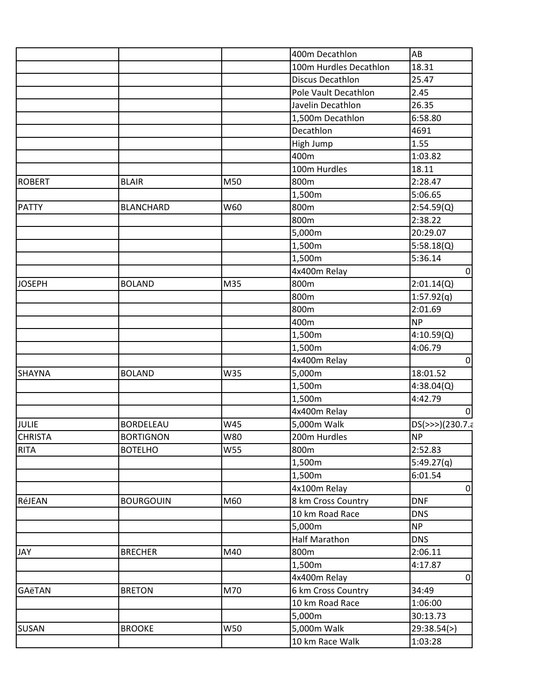|                |                  |            | 400m Decathlon          | AB              |
|----------------|------------------|------------|-------------------------|-----------------|
|                |                  |            | 100m Hurdles Decathlon  | 18.31           |
|                |                  |            | <b>Discus Decathlon</b> | 25.47           |
|                |                  |            | Pole Vault Decathlon    | 2.45            |
|                |                  |            | Javelin Decathlon       | 26.35           |
|                |                  |            | 1,500m Decathlon        | 6:58.80         |
|                |                  |            | Decathlon               | 4691            |
|                |                  |            | High Jump               | 1.55            |
|                |                  |            | 400m                    | 1:03.82         |
|                |                  |            | 100m Hurdles            | 18.11           |
| ROBERT         | <b>BLAIR</b>     | M50        | 800m                    | 2:28.47         |
|                |                  |            | 1,500m                  | 5:06.65         |
| PATTY          | <b>BLANCHARD</b> | W60        | 800m                    | 2:54.59(Q)      |
|                |                  |            | 800m                    | 2:38.22         |
|                |                  |            | 5,000m                  | 20:29.07        |
|                |                  |            | 1,500m                  | 5:58.18(Q)      |
|                |                  |            | 1,500m                  | 5:36.14         |
|                |                  |            | 4x400m Relay            | $\pmb{0}$       |
| <b>JOSEPH</b>  | <b>BOLAND</b>    | M35        | 800m                    | 2:01.14(Q)      |
|                |                  |            | 800m                    | 1:57.92(q)      |
|                |                  |            | 800m                    | 2:01.69         |
|                |                  |            | 400m                    | <b>NP</b>       |
|                |                  |            | 1,500m                  | 4:10.59(Q)      |
|                |                  |            | 1,500m                  | 4:06.79         |
|                |                  |            | 4x400m Relay            | 0               |
| <b>SHAYNA</b>  | <b>BOLAND</b>    | W35        | 5,000m                  | 18:01.52        |
|                |                  |            | 1,500m                  | 4:38.04(Q)      |
|                |                  |            | 1,500m                  | 4:42.79         |
|                |                  |            | 4x400m Relay            | 0               |
| JULIE          | <b>BORDELEAU</b> | W45        | 5,000m Walk             | DS(>>>)(230.7.a |
| <b>CHRISTA</b> | <b>BORTIGNON</b> | W80        | 200m Hurdles            | <b>NP</b>       |
| RITA           | <b>BOTELHO</b>   | <b>W55</b> | 800m                    | 2:52.83         |
|                |                  |            | 1,500m                  | 5:49.27(q)      |
|                |                  |            | 1,500m                  | 6:01.54         |
|                |                  |            | 4x100m Relay            | $\overline{0}$  |
| RéJEAN         | <b>BOURGOUIN</b> | M60        | 8 km Cross Country      | <b>DNF</b>      |
|                |                  |            | 10 km Road Race         | <b>DNS</b>      |
|                |                  |            | 5,000m                  | NP              |
|                |                  |            | <b>Half Marathon</b>    | <b>DNS</b>      |
| JAY            | <b>BRECHER</b>   | M40        | 800m                    | 2:06.11         |
|                |                  |            | 1,500m                  | 4:17.87         |
|                |                  |            | 4x400m Relay            | 0               |
| <b>GAëTAN</b>  | <b>BRETON</b>    | M70        | 6 km Cross Country      | 34:49           |
|                |                  |            | 10 km Road Race         | 1:06:00         |
|                |                  |            | 5,000m                  | 30:13.73        |
| <b>SUSAN</b>   | <b>BROOKE</b>    | W50        | 5,000m Walk             | 29:38.54(>)     |
|                |                  |            | 10 km Race Walk         | 1:03:28         |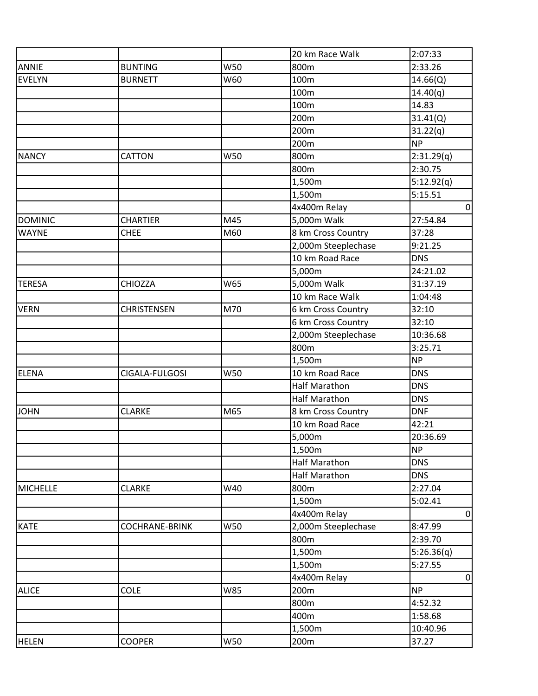|                 |                       |            | 20 km Race Walk      | 2:07:33        |
|-----------------|-----------------------|------------|----------------------|----------------|
| <b>ANNIE</b>    | <b>BUNTING</b>        | W50        | 800m                 | 2:33.26        |
| <b>EVELYN</b>   | <b>BURNETT</b>        | W60        | 100m                 | 14.66(Q)       |
|                 |                       |            | 100m                 | 14.40(q)       |
|                 |                       |            | 100m                 | 14.83          |
|                 |                       |            | 200m                 | 31.41(Q)       |
|                 |                       |            | 200m                 | 31.22(q)       |
|                 |                       |            | 200m                 | <b>NP</b>      |
| <b>NANCY</b>    | CATTON                | W50        | 800m                 | 2:31.29(q)     |
|                 |                       |            | 800m                 | 2:30.75        |
|                 |                       |            | 1,500m               | 5:12.92(q)     |
|                 |                       |            | 1,500m               | 5:15.51        |
|                 |                       |            | 4x400m Relay         | $\mathbf 0$    |
| <b>DOMINIC</b>  | <b>CHARTIER</b>       | M45        | 5,000m Walk          | 27:54.84       |
| <b>WAYNE</b>    | <b>CHEE</b>           | M60        | 8 km Cross Country   | 37:28          |
|                 |                       |            | 2,000m Steeplechase  | 9:21.25        |
|                 |                       |            | 10 km Road Race      | <b>DNS</b>     |
|                 |                       |            | 5,000m               | 24:21.02       |
| <b>TERESA</b>   | <b>CHIOZZA</b>        | W65        | 5,000m Walk          | 31:37.19       |
|                 |                       |            | 10 km Race Walk      | 1:04:48        |
| <b>VERN</b>     | <b>CHRISTENSEN</b>    | M70        | 6 km Cross Country   | 32:10          |
|                 |                       |            | 6 km Cross Country   | 32:10          |
|                 |                       |            | 2,000m Steeplechase  | 10:36.68       |
|                 |                       |            | 800m                 | 3:25.71        |
|                 |                       |            | 1,500m               | <b>NP</b>      |
| <b>ELENA</b>    | CIGALA-FULGOSI        | W50        | 10 km Road Race      | <b>DNS</b>     |
|                 |                       |            | <b>Half Marathon</b> | <b>DNS</b>     |
|                 |                       |            | <b>Half Marathon</b> | <b>DNS</b>     |
| <b>JOHN</b>     | <b>CLARKE</b>         | M65        | 8 km Cross Country   | <b>DNF</b>     |
|                 |                       |            | 10 km Road Race      | 42:21          |
|                 |                       |            | 5,000m               | 20:36.69       |
|                 |                       |            | 1,500m               | <b>NP</b>      |
|                 |                       |            | <b>Half Marathon</b> | <b>DNS</b>     |
|                 |                       |            | <b>Half Marathon</b> | <b>DNS</b>     |
| <b>MICHELLE</b> | <b>CLARKE</b>         | W40        | 800m                 | 2:27.04        |
|                 |                       |            | 1,500m               | 5:02.41        |
|                 |                       |            | 4x400m Relay         | $\pmb{0}$      |
| <b>KATE</b>     | <b>COCHRANE-BRINK</b> | W50        | 2,000m Steeplechase  | 8:47.99        |
|                 |                       |            | 800m                 | 2:39.70        |
|                 |                       |            | 1,500m               | 5:26.36(q)     |
|                 |                       |            | 1,500m               | 5:27.55        |
|                 |                       |            | 4x400m Relay         | $\overline{0}$ |
| <b>ALICE</b>    | <b>COLE</b>           | <b>W85</b> | 200m                 | <b>NP</b>      |
|                 |                       |            | 800m                 | 4:52.32        |
|                 |                       |            | 400m                 | 1:58.68        |
|                 |                       |            | 1,500m               | 10:40.96       |
| <b>HELEN</b>    | <b>COOPER</b>         | W50        | 200m                 | 37.27          |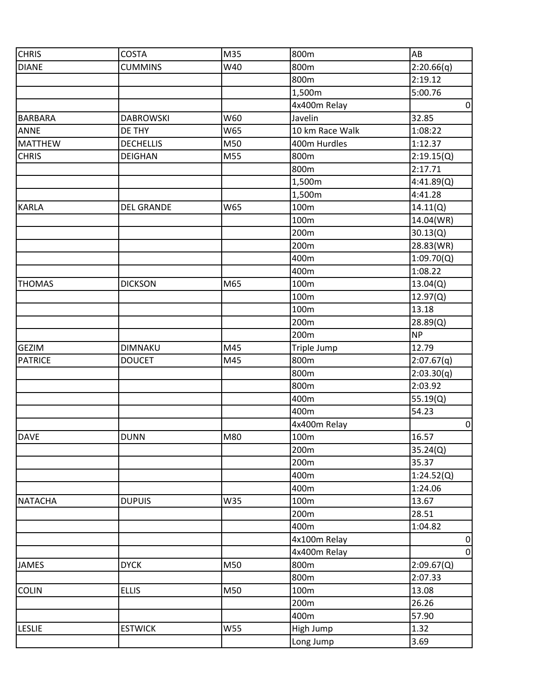| <b>CHRIS</b>   | <b>COSTA</b>      | M35 | 800m            | AB             |
|----------------|-------------------|-----|-----------------|----------------|
| <b>DIANE</b>   | <b>CUMMINS</b>    | W40 | 800m            | 2:20.66(q)     |
|                |                   |     | 800m            | 2:19.12        |
|                |                   |     | 1,500m          | 5:00.76        |
|                |                   |     | 4x400m Relay    | $\overline{0}$ |
| <b>BARBARA</b> | <b>DABROWSKI</b>  | W60 | Javelin         | 32.85          |
| <b>ANNE</b>    | DE THY            | W65 | 10 km Race Walk | 1:08:22        |
| <b>MATTHEW</b> | <b>DECHELLIS</b>  | M50 | 400m Hurdles    | 1:12.37        |
| <b>CHRIS</b>   | <b>DEIGHAN</b>    | M55 | 800m            | 2:19.15(Q)     |
|                |                   |     | 800m            | 2:17.71        |
|                |                   |     | 1,500m          | 4:41.89(Q)     |
|                |                   |     | 1,500m          | 4:41.28        |
| <b>KARLA</b>   | <b>DEL GRANDE</b> | W65 | 100m            | 14.11(Q)       |
|                |                   |     | 100m            | 14.04(WR)      |
|                |                   |     | 200m            | 30.13(Q)       |
|                |                   |     | 200m            | 28.83(WR)      |
|                |                   |     | 400m            | 1:09.70(Q)     |
|                |                   |     | 400m            | 1:08.22        |
| <b>THOMAS</b>  | <b>DICKSON</b>    | M65 | 100m            | 13.04(Q)       |
|                |                   |     | 100m            | 12.97(Q)       |
|                |                   |     | 100m            | 13.18          |
|                |                   |     | 200m            | 28.89(Q)       |
|                |                   |     | 200m            | <b>NP</b>      |
| <b>GEZIM</b>   | <b>DIMNAKU</b>    | M45 | Triple Jump     | 12.79          |
| <b>PATRICE</b> | <b>DOUCET</b>     | M45 | 800m            | 2:07.67(q)     |
|                |                   |     | 800m            | 2:03.30(q)     |
|                |                   |     | 800m            | 2:03.92        |
|                |                   |     | 400m            | 55.19(Q)       |
|                |                   |     | 400m            | 54.23          |
|                |                   |     | 4x400m Relay    | $\overline{0}$ |
| <b>DAVE</b>    | <b>DUNN</b>       | M80 | 100m            | 16.57          |
|                |                   |     | 200m            | 35.24(Q)       |
|                |                   |     | 200m            | 35.37          |
|                |                   |     | 400m            | 1:24.52(Q)     |
|                |                   |     | 400m            | 1:24.06        |
| <b>NATACHA</b> | <b>DUPUIS</b>     | W35 | 100m            | 13.67          |
|                |                   |     | 200m            | 28.51          |
|                |                   |     | 400m            | 1:04.82        |
|                |                   |     | 4x100m Relay    | $\overline{0}$ |
|                |                   |     | 4x400m Relay    | $\overline{0}$ |
| <b>JAMES</b>   | <b>DYCK</b>       | M50 | 800m            | 2:09.67(Q)     |
|                |                   |     | 800m            | 2:07.33        |
| <b>COLIN</b>   | <b>ELLIS</b>      | M50 | 100m            | 13.08          |
|                |                   |     | 200m            | 26.26          |
|                |                   |     | 400m            | 57.90          |
| <b>LESLIE</b>  | <b>ESTWICK</b>    | W55 | High Jump       | 1.32           |
|                |                   |     | Long Jump       | 3.69           |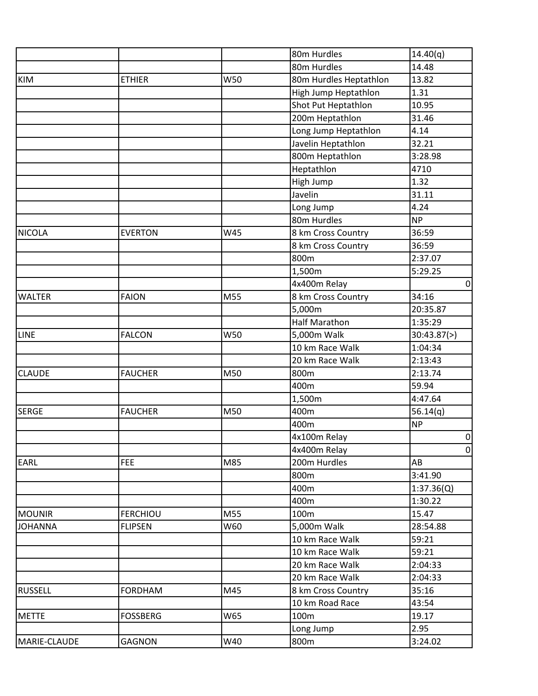|                |                 |     | 80m Hurdles            | 14.40(q)       |
|----------------|-----------------|-----|------------------------|----------------|
|                |                 |     | 80m Hurdles            | 14.48          |
| <b>KIM</b>     | <b>ETHIER</b>   | W50 | 80m Hurdles Heptathlon | 13.82          |
|                |                 |     | High Jump Heptathlon   | 1.31           |
|                |                 |     | Shot Put Heptathlon    | 10.95          |
|                |                 |     | 200m Heptathlon        | 31.46          |
|                |                 |     | Long Jump Heptathlon   | 4.14           |
|                |                 |     | Javelin Heptathlon     | 32.21          |
|                |                 |     | 800m Heptathlon        | 3:28.98        |
|                |                 |     | Heptathlon             | 4710           |
|                |                 |     | High Jump              | 1.32           |
|                |                 |     | Javelin                | 31.11          |
|                |                 |     | Long Jump              | 4.24           |
|                |                 |     | 80m Hurdles            | <b>NP</b>      |
| <b>NICOLA</b>  | <b>EVERTON</b>  | W45 | 8 km Cross Country     | 36:59          |
|                |                 |     | 8 km Cross Country     | 36:59          |
|                |                 |     | 800m                   | 2:37.07        |
|                |                 |     | 1,500m                 | 5:29.25        |
|                |                 |     | 4x400m Relay           | $\overline{0}$ |
| <b>WALTER</b>  | <b>FAION</b>    | M55 | 8 km Cross Country     | 34:16          |
|                |                 |     | 5,000m                 | 20:35.87       |
|                |                 |     | <b>Half Marathon</b>   | 1:35:29        |
| LINE           | <b>FALCON</b>   | W50 | 5,000m Walk            | 30:43.87(>)    |
|                |                 |     | 10 km Race Walk        | 1:04:34        |
|                |                 |     | 20 km Race Walk        | 2:13:43        |
| <b>CLAUDE</b>  | <b>FAUCHER</b>  | M50 | 800m                   | 2:13.74        |
|                |                 |     | 400m                   | 59.94          |
|                |                 |     | 1,500m                 | 4:47.64        |
| <b>SERGE</b>   | <b>FAUCHER</b>  | M50 | 400m                   | 56.14(q)       |
|                |                 |     | 400m                   | <b>NP</b>      |
|                |                 |     | 4x100m Relay           | $\overline{0}$ |
|                |                 |     | 4x400m Relay           | $\overline{0}$ |
| <b>EARL</b>    | <b>FEE</b>      | M85 | 200m Hurdles           | AB             |
|                |                 |     | 800m                   | 3:41.90        |
|                |                 |     | 400m                   | 1:37.36(Q)     |
|                |                 |     | 400m                   | 1:30.22        |
| <b>MOUNIR</b>  | <b>FERCHIOU</b> | M55 | 100m                   | 15.47          |
| <b>JOHANNA</b> | <b>FLIPSEN</b>  | W60 | 5,000m Walk            | 28:54.88       |
|                |                 |     | 10 km Race Walk        | 59:21          |
|                |                 |     | 10 km Race Walk        | 59:21          |
|                |                 |     | 20 km Race Walk        | 2:04:33        |
|                |                 |     | 20 km Race Walk        | 2:04:33        |
| <b>RUSSELL</b> | <b>FORDHAM</b>  | M45 | 8 km Cross Country     | 35:16          |
|                |                 |     | 10 km Road Race        | 43:54          |
| <b>METTE</b>   | <b>FOSSBERG</b> | W65 | 100m                   | 19.17          |
|                |                 |     | Long Jump              | 2.95           |
| MARIE-CLAUDE   | <b>GAGNON</b>   | W40 | 800m                   | 3:24.02        |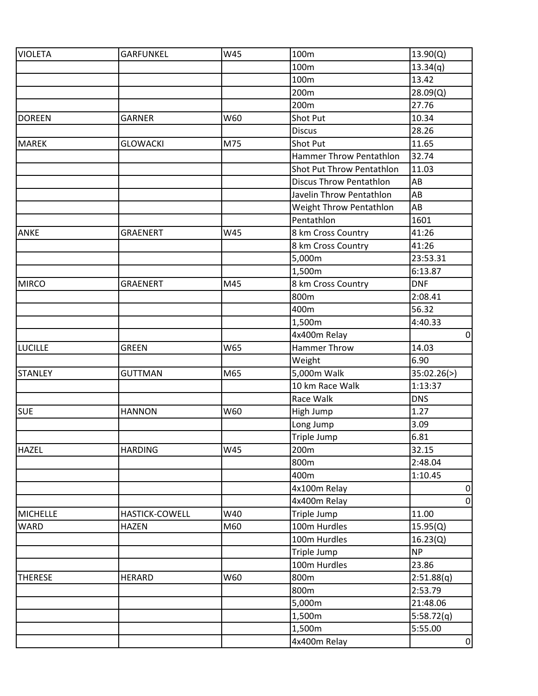| <b>VIOLETA</b>  | <b>GARFUNKEL</b>      | W45 | 100m                           | 13.90(Q)       |
|-----------------|-----------------------|-----|--------------------------------|----------------|
|                 |                       |     | 100m                           | 13.34(q)       |
|                 |                       |     | 100m                           | 13.42          |
|                 |                       |     | 200m                           | 28.09(Q)       |
|                 |                       |     | 200m                           | 27.76          |
| <b>DOREEN</b>   | <b>GARNER</b>         | W60 | <b>Shot Put</b>                | 10.34          |
|                 |                       |     | <b>Discus</b>                  | 28.26          |
| <b>MAREK</b>    | <b>GLOWACKI</b>       | M75 | Shot Put                       | 11.65          |
|                 |                       |     | <b>Hammer Throw Pentathlon</b> | 32.74          |
|                 |                       |     | Shot Put Throw Pentathlon      | 11.03          |
|                 |                       |     | <b>Discus Throw Pentathlon</b> | AB             |
|                 |                       |     | Javelin Throw Pentathlon       | AB             |
|                 |                       |     | Weight Throw Pentathlon        | AB             |
|                 |                       |     | Pentathlon                     | 1601           |
| <b>ANKE</b>     | <b>GRAENERT</b>       | W45 | 8 km Cross Country             | 41:26          |
|                 |                       |     | 8 km Cross Country             | 41:26          |
|                 |                       |     | 5,000m                         | 23:53.31       |
|                 |                       |     | 1,500m                         | 6:13.87        |
| <b>MIRCO</b>    | <b>GRAENERT</b>       | M45 | 8 km Cross Country             | <b>DNF</b>     |
|                 |                       |     | 800m                           | 2:08.41        |
|                 |                       |     | 400m                           | 56.32          |
|                 |                       |     | 1,500m                         | 4:40.33        |
|                 |                       |     | 4x400m Relay                   | $\overline{0}$ |
| <b>LUCILLE</b>  | <b>GREEN</b>          | W65 | Hammer Throw                   | 14.03          |
|                 |                       |     | Weight                         | 6.90           |
| <b>STANLEY</b>  | <b>GUTTMAN</b>        | M65 | 5,000m Walk                    | 35:02.26(>)    |
|                 |                       |     | 10 km Race Walk                | 1:13:37        |
|                 |                       |     | Race Walk                      | <b>DNS</b>     |
| <b>SUE</b>      | <b>HANNON</b>         | W60 | High Jump                      | 1.27           |
|                 |                       |     | Long Jump                      | 3.09           |
|                 |                       |     | Triple Jump                    | 6.81           |
| <b>HAZEL</b>    | <b>HARDING</b>        | W45 | 200 <sub>m</sub>               | 32.15          |
|                 |                       |     | 800m                           | 2:48.04        |
|                 |                       |     | 400m                           | 1:10.45        |
|                 |                       |     | 4x100m Relay                   | $\overline{0}$ |
|                 |                       |     | 4x400m Relay                   | $\overline{0}$ |
| <b>MICHELLE</b> | <b>HASTICK-COWELL</b> | W40 | Triple Jump                    | 11.00          |
| <b>WARD</b>     | <b>HAZEN</b>          | M60 | 100m Hurdles                   | 15.95(Q)       |
|                 |                       |     | 100m Hurdles                   | 16.23(Q)       |
|                 |                       |     | Triple Jump                    | <b>NP</b>      |
|                 |                       |     | 100m Hurdles                   | 23.86          |
| <b>THERESE</b>  | <b>HERARD</b>         | W60 | 800m                           | 2:51.88(q)     |
|                 |                       |     | 800m                           | 2:53.79        |
|                 |                       |     | 5,000m                         | 21:48.06       |
|                 |                       |     | 1,500m                         | 5:58.72(q)     |
|                 |                       |     | 1,500m                         | 5:55.00        |
|                 |                       |     | 4x400m Relay                   | $\overline{0}$ |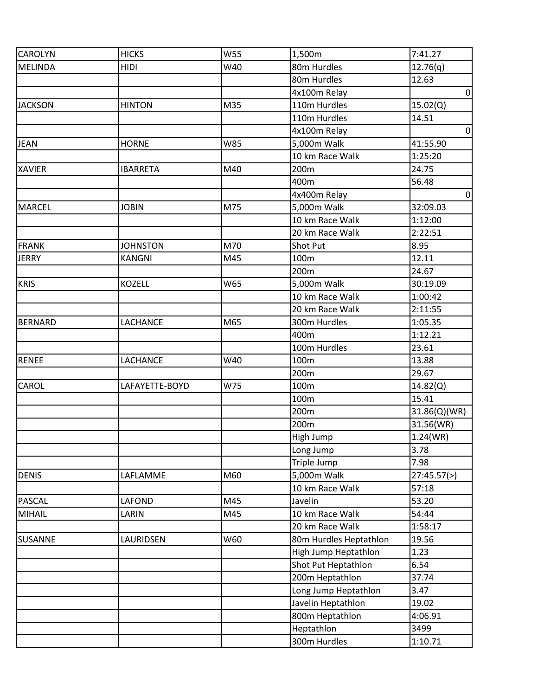| <b>CAROLYN</b> | <b>HICKS</b>    | W55 | 1,500m                 | 7:41.27        |
|----------------|-----------------|-----|------------------------|----------------|
| MELINDA        | <b>HIDI</b>     | W40 | 80m Hurdles            | 12.76(q)       |
|                |                 |     | 80m Hurdles            | 12.63          |
|                |                 |     | 4x100m Relay           | $\overline{0}$ |
| <b>JACKSON</b> | <b>HINTON</b>   | M35 | 110m Hurdles           | 15.02(Q)       |
|                |                 |     | 110m Hurdles           | 14.51          |
|                |                 |     | 4x100m Relay           | $\overline{0}$ |
| <b>JEAN</b>    | <b>HORNE</b>    | W85 | 5,000m Walk            | 41:55.90       |
|                |                 |     | 10 km Race Walk        | 1:25:20        |
| <b>XAVIER</b>  | <b>IBARRETA</b> | M40 | 200m                   | 24.75          |
|                |                 |     | 400m                   | 56.48          |
|                |                 |     | 4x400m Relay           | $\overline{0}$ |
| MARCEL         | <b>JOBIN</b>    | M75 | 5,000m Walk            | 32:09.03       |
|                |                 |     | 10 km Race Walk        | 1:12:00        |
|                |                 |     | 20 km Race Walk        | 2:22:51        |
| <b>FRANK</b>   | <b>JOHNSTON</b> | M70 | Shot Put               | 8.95           |
| <b>JERRY</b>   | <b>KANGNI</b>   | M45 | 100m                   | 12.11          |
|                |                 |     | 200m                   | 24.67          |
| <b>KRIS</b>    | <b>KOZELL</b>   | W65 | 5,000m Walk            | 30:19.09       |
|                |                 |     | 10 km Race Walk        | 1:00:42        |
|                |                 |     | 20 km Race Walk        | 2:11:55        |
| <b>BERNARD</b> | LACHANCE        | M65 | 300m Hurdles           | 1:05.35        |
|                |                 |     | 400m                   | 1:12.21        |
|                |                 |     | 100m Hurdles           | 23.61          |
| <b>RENEE</b>   | <b>LACHANCE</b> | W40 | 100m                   | 13.88          |
|                |                 |     | 200m                   | 29.67          |
| CAROL          | LAFAYETTE-BOYD  | W75 | 100m                   | 14.82(Q)       |
|                |                 |     | 100m                   | 15.41          |
|                |                 |     | 200m                   | 31.86(Q)(WR)   |
|                |                 |     | 200m                   | 31.56(WR)      |
|                |                 |     | High Jump              | 1.24(WR)       |
|                |                 |     | Long Jump              | 3.78           |
|                |                 |     | Triple Jump            | 7.98           |
| <b>DENIS</b>   | LAFLAMME        | M60 | 5,000m Walk            | 27:45.57(>)    |
|                |                 |     | 10 km Race Walk        | 57:18          |
| <b>PASCAL</b>  | LAFOND          | M45 | Javelin                | 53.20          |
| <b>MIHAIL</b>  | LARIN           | M45 | 10 km Race Walk        | 54:44          |
|                |                 |     | 20 km Race Walk        | 1:58:17        |
| SUSANNE        | LAURIDSEN       | W60 | 80m Hurdles Heptathlon | 19.56          |
|                |                 |     | High Jump Heptathlon   | 1.23           |
|                |                 |     | Shot Put Heptathlon    | 6.54           |
|                |                 |     | 200m Heptathlon        | 37.74          |
|                |                 |     | Long Jump Heptathlon   | 3.47           |
|                |                 |     | Javelin Heptathlon     | 19.02          |
|                |                 |     | 800m Heptathlon        | 4:06.91        |
|                |                 |     | Heptathlon             | 3499           |
|                |                 |     | 300m Hurdles           | 1:10.71        |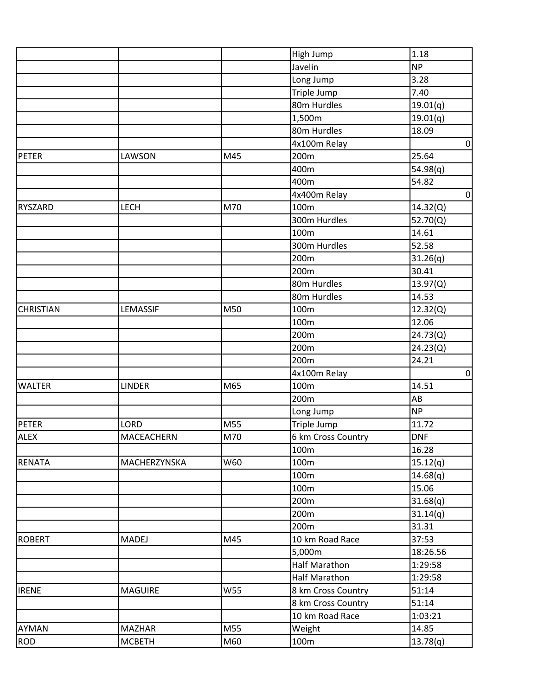|                  |                   |     | High Jump            | 1.18           |
|------------------|-------------------|-----|----------------------|----------------|
|                  |                   |     | Javelin              | <b>NP</b>      |
|                  |                   |     | Long Jump            | 3.28           |
|                  |                   |     | Triple Jump          | 7.40           |
|                  |                   |     | 80m Hurdles          | 19.01(q)       |
|                  |                   |     | 1,500m               | 19.01(q)       |
|                  |                   |     | 80m Hurdles          | 18.09          |
|                  |                   |     | 4x100m Relay         | $\mathbf 0$    |
| <b>PETER</b>     | LAWSON            | M45 | 200m                 | 25.64          |
|                  |                   |     | 400m                 | 54.98(q)       |
|                  |                   |     | 400m                 | 54.82          |
|                  |                   |     | 4x400m Relay         | $\overline{0}$ |
| <b>RYSZARD</b>   | <b>LECH</b>       | M70 | 100m                 | 14.32(Q)       |
|                  |                   |     | 300m Hurdles         | 52.70(Q)       |
|                  |                   |     | 100m                 | 14.61          |
|                  |                   |     | 300m Hurdles         | 52.58          |
|                  |                   |     | 200m                 | 31.26(q)       |
|                  |                   |     | 200m                 | 30.41          |
|                  |                   |     | 80m Hurdles          | 13.97(Q)       |
|                  |                   |     | 80m Hurdles          | 14.53          |
| <b>CHRISTIAN</b> | LEMASSIF          | M50 | 100m                 | 12.32(Q)       |
|                  |                   |     | 100m                 | 12.06          |
|                  |                   |     | 200m                 | 24.73(Q)       |
|                  |                   |     | 200m                 | 24.23(Q)       |
|                  |                   |     | 200m                 | 24.21          |
|                  |                   |     | 4x100m Relay         | $\overline{0}$ |
| <b>WALTER</b>    | <b>LINDER</b>     | M65 | 100m                 | 14.51          |
|                  |                   |     | 200m                 | AB             |
|                  |                   |     | Long Jump            | <b>NP</b>      |
| <b>PETER</b>     | LORD              | M55 | Triple Jump          | 11.72          |
| <b>ALEX</b>      | <b>MACEACHERN</b> | M70 | 6 km Cross Country   | <b>DNF</b>     |
|                  |                   |     | 100m                 | 16.28          |
| <b>RENATA</b>    | MACHERZYNSKA      | W60 | 100m                 | 15.12(q)       |
|                  |                   |     | 100m                 | 14.68(q)       |
|                  |                   |     | 100m                 | 15.06          |
|                  |                   |     | 200m                 | 31.68(q)       |
|                  |                   |     | 200m                 | 31.14(q)       |
|                  |                   |     | 200m                 | 31.31          |
| <b>ROBERT</b>    | <b>MADEJ</b>      | M45 | 10 km Road Race      | 37:53          |
|                  |                   |     | 5,000m               | 18:26.56       |
|                  |                   |     | <b>Half Marathon</b> | 1:29:58        |
|                  |                   |     | Half Marathon        | 1:29:58        |
| <b>IRENE</b>     | <b>MAGUIRE</b>    | W55 | 8 km Cross Country   | 51:14          |
|                  |                   |     | 8 km Cross Country   | 51:14          |
|                  |                   |     | 10 km Road Race      | 1:03:21        |
| <b>AYMAN</b>     | <b>MAZHAR</b>     | M55 | Weight               | 14.85          |
| <b>ROD</b>       | <b>MCBETH</b>     | M60 | 100m                 | 13.78(q)       |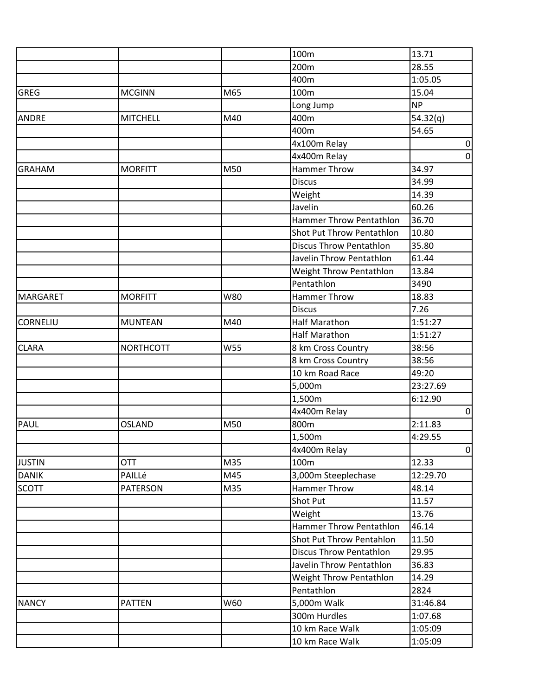|                 |                  |            | 100m                           | 13.71       |
|-----------------|------------------|------------|--------------------------------|-------------|
|                 |                  |            | 200m                           | 28.55       |
|                 |                  |            | 400m                           | 1:05.05     |
| <b>GREG</b>     | <b>MCGINN</b>    | M65        | 100m                           | 15.04       |
|                 |                  |            | Long Jump                      | <b>NP</b>   |
| <b>ANDRE</b>    | <b>MITCHELL</b>  | M40        | 400m                           | 54.32(q)    |
|                 |                  |            | 400m                           | 54.65       |
|                 |                  |            | 4x100m Relay                   | $\mathbf 0$ |
|                 |                  |            | 4x400m Relay                   | $\mathbf 0$ |
| <b>GRAHAM</b>   | <b>MORFITT</b>   | M50        | <b>Hammer Throw</b>            | 34.97       |
|                 |                  |            | <b>Discus</b>                  | 34.99       |
|                 |                  |            | Weight                         | 14.39       |
|                 |                  |            | Javelin                        | 60.26       |
|                 |                  |            | Hammer Throw Pentathlon        | 36.70       |
|                 |                  |            | Shot Put Throw Pentathlon      | 10.80       |
|                 |                  |            | <b>Discus Throw Pentathlon</b> | 35.80       |
|                 |                  |            | Javelin Throw Pentathlon       | 61.44       |
|                 |                  |            | Weight Throw Pentathlon        | 13.84       |
|                 |                  |            | Pentathlon                     | 3490        |
| <b>MARGARET</b> | <b>MORFITT</b>   | W80        | <b>Hammer Throw</b>            | 18.83       |
|                 |                  |            | <b>Discus</b>                  | 7.26        |
| CORNELIU        | <b>MUNTEAN</b>   | M40        | <b>Half Marathon</b>           | 1:51:27     |
|                 |                  |            | <b>Half Marathon</b>           | 1:51:27     |
| <b>CLARA</b>    | <b>NORTHCOTT</b> | <b>W55</b> | 8 km Cross Country             | 38:56       |
|                 |                  |            | 8 km Cross Country             | 38:56       |
|                 |                  |            | 10 km Road Race                | 49:20       |
|                 |                  |            | 5,000m                         | 23:27.69    |
|                 |                  |            | 1,500m                         | 6:12.90     |
|                 |                  |            | 4x400m Relay                   | $\mathbf 0$ |
| PAUL            | <b>OSLAND</b>    | M50        | 800m                           | 2:11.83     |
|                 |                  |            | 1,500m                         | 4:29.55     |
|                 |                  |            | 4x400m Relay                   | 0           |
| <b>JUSTIN</b>   | <b>OTT</b>       | M35        | 100m                           | 12.33       |
| <b>DANIK</b>    | PAILLé           | M45        | 3,000m Steeplechase            | 12:29.70    |
| <b>SCOTT</b>    | <b>PATERSON</b>  | M35        | Hammer Throw                   | 48.14       |
|                 |                  |            | Shot Put                       | 11.57       |
|                 |                  |            | Weight                         | 13.76       |
|                 |                  |            | <b>Hammer Throw Pentathlon</b> | 46.14       |
|                 |                  |            | Shot Put Throw Pentahlon       | 11.50       |
|                 |                  |            | <b>Discus Throw Pentathlon</b> | 29.95       |
|                 |                  |            | Javelin Throw Pentathlon       | 36.83       |
|                 |                  |            | Weight Throw Pentathlon        | 14.29       |
|                 |                  |            | Pentathlon                     | 2824        |
| <b>NANCY</b>    | <b>PATTEN</b>    | W60        | 5,000m Walk                    | 31:46.84    |
|                 |                  |            | 300m Hurdles                   | 1:07.68     |
|                 |                  |            | 10 km Race Walk                | 1:05:09     |
|                 |                  |            | 10 km Race Walk                | 1:05:09     |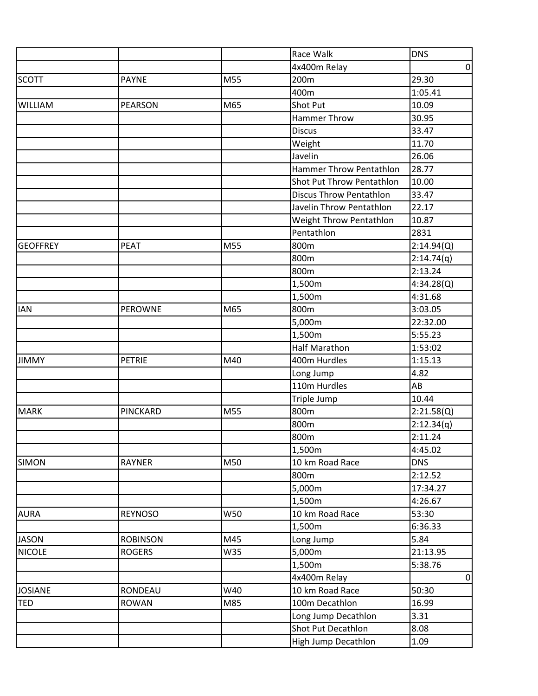|                 |                 |     | Race Walk                      | <b>DNS</b>     |
|-----------------|-----------------|-----|--------------------------------|----------------|
|                 |                 |     | 4x400m Relay                   | $\overline{0}$ |
| <b>SCOTT</b>    | <b>PAYNE</b>    | M55 | 200m                           | 29.30          |
|                 |                 |     | 400m                           | 1:05.41        |
| <b>WILLIAM</b>  | <b>PEARSON</b>  | M65 | <b>Shot Put</b>                | 10.09          |
|                 |                 |     | Hammer Throw                   | 30.95          |
|                 |                 |     | <b>Discus</b>                  | 33.47          |
|                 |                 |     | Weight                         | 11.70          |
|                 |                 |     | Javelin                        | 26.06          |
|                 |                 |     | Hammer Throw Pentathlon        | 28.77          |
|                 |                 |     | Shot Put Throw Pentathlon      | 10.00          |
|                 |                 |     | <b>Discus Throw Pentathlon</b> | 33.47          |
|                 |                 |     | Javelin Throw Pentathlon       | 22.17          |
|                 |                 |     | Weight Throw Pentathlon        | 10.87          |
|                 |                 |     | Pentathlon                     | 2831           |
| <b>GEOFFREY</b> | <b>PEAT</b>     | M55 | 800m                           | 2:14.94(Q)     |
|                 |                 |     | 800m                           | 2:14.74(q)     |
|                 |                 |     | 800m                           | 2:13.24        |
|                 |                 |     | 1,500m                         | 4:34.28(Q)     |
|                 |                 |     | 1,500m                         | 4:31.68        |
| <b>IAN</b>      | <b>PEROWNE</b>  | M65 | 800m                           | 3:03.05        |
|                 |                 |     | 5,000m                         | 22:32.00       |
|                 |                 |     | 1,500m                         | 5:55.23        |
|                 |                 |     | <b>Half Marathon</b>           | 1:53:02        |
| <b>JIMMY</b>    | <b>PETRIE</b>   | M40 | 400m Hurdles                   | 1:15.13        |
|                 |                 |     | Long Jump                      | 4.82           |
|                 |                 |     | 110m Hurdles                   | AB             |
|                 |                 |     | Triple Jump                    | 10.44          |
| <b>MARK</b>     | PINCKARD        | M55 | 800m                           | 2:21.58(Q)     |
|                 |                 |     | 800m                           | 2:12.34(q)     |
|                 |                 |     | 800m                           | 2:11.24        |
|                 |                 |     | 1,500m                         | 4:45.02        |
| <b>SIMON</b>    | <b>RAYNER</b>   | M50 | 10 km Road Race                | <b>DNS</b>     |
|                 |                 |     | 800m                           | 2:12.52        |
|                 |                 |     | 5,000m                         | 17:34.27       |
|                 |                 |     | 1,500m                         | 4:26.67        |
| <b>AURA</b>     | <b>REYNOSO</b>  | W50 | 10 km Road Race                | 53:30          |
|                 |                 |     | 1,500m                         | 6:36.33        |
| <b>JASON</b>    | <b>ROBINSON</b> | M45 | Long Jump                      | 5.84           |
| <b>NICOLE</b>   | <b>ROGERS</b>   | W35 | 5,000m                         | 21:13.95       |
|                 |                 |     | 1,500m                         | 5:38.76        |
|                 |                 |     | 4x400m Relay                   | $\overline{0}$ |
| <b>JOSIANE</b>  | RONDEAU         | W40 | 10 km Road Race                | 50:30          |
| <b>TED</b>      | <b>ROWAN</b>    | M85 | 100m Decathlon                 | 16.99          |
|                 |                 |     | Long Jump Decathlon            | 3.31           |
|                 |                 |     | Shot Put Decathlon             | 8.08           |
|                 |                 |     | High Jump Decathlon            | 1.09           |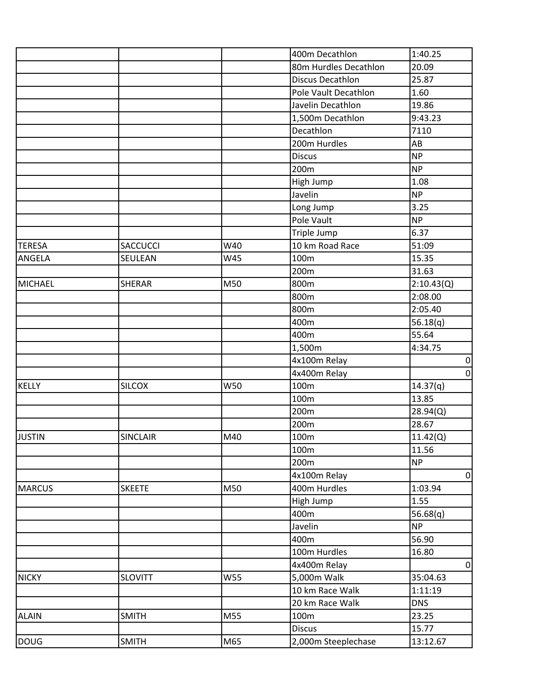|                |                 |     | 400m Decathlon        | 1:40.25    |
|----------------|-----------------|-----|-----------------------|------------|
|                |                 |     | 80m Hurdles Decathlon | 20.09      |
|                |                 |     | Discus Decathlon      | 25.87      |
|                |                 |     | Pole Vault Decathlon  | 1.60       |
|                |                 |     | Javelin Decathlon     | 19.86      |
|                |                 |     | 1,500m Decathlon      | 9:43.23    |
|                |                 |     | Decathlon             | 7110       |
|                |                 |     | 200m Hurdles          | AB         |
|                |                 |     | <b>Discus</b>         | <b>NP</b>  |
|                |                 |     | 200m                  | <b>NP</b>  |
|                |                 |     | High Jump             | 1.08       |
|                |                 |     | Javelin               | <b>NP</b>  |
|                |                 |     | Long Jump             | 3.25       |
|                |                 |     | Pole Vault            | <b>NP</b>  |
|                |                 |     | Triple Jump           | 6.37       |
| <b>TERESA</b>  | <b>SACCUCCI</b> | W40 | 10 km Road Race       | 51:09      |
| ANGELA         | SEULEAN         | W45 | 100m                  | 15.35      |
|                |                 |     | 200m                  | 31.63      |
| <b>MICHAEL</b> | <b>SHERAR</b>   | M50 | 800m                  | 2:10.43(Q) |
|                |                 |     | 800m                  | 2:08.00    |
|                |                 |     | 800m                  | 2:05.40    |
|                |                 |     | 400m                  | 56.18(q)   |
|                |                 |     | 400m                  | 55.64      |
|                |                 |     | 1,500m                | 4:34.75    |
|                |                 |     | 4x100m Relay          | $\pmb{0}$  |
|                |                 |     | 4x400m Relay          | $\pmb{0}$  |
| KELLY          | <b>SILCOX</b>   | W50 | 100m                  | 14.37(q)   |
|                |                 |     | 100m                  | 13.85      |
|                |                 |     | 200m                  | 28.94(Q)   |
|                |                 |     | 200m                  | 28.67      |
| <b>JUSTIN</b>  | <b>SINCLAIR</b> | M40 | 100m                  | 11.42(Q)   |
|                |                 |     | 100m                  | 11.56      |
|                |                 |     | 200m                  | <b>NP</b>  |
|                |                 |     | 4x100m Relay          | $\pmb{0}$  |
| <b>MARCUS</b>  | <b>SKEETE</b>   | M50 | 400m Hurdles          | 1:03.94    |
|                |                 |     | High Jump             | 1.55       |
|                |                 |     | 400m                  | 56.68(q)   |
|                |                 |     | Javelin               | <b>NP</b>  |
|                |                 |     | 400m                  | 56.90      |
|                |                 |     | 100m Hurdles          | 16.80      |
|                |                 |     | 4x400m Relay          | $\pmb{0}$  |
| <b>NICKY</b>   | <b>SLOVITT</b>  | W55 | 5,000m Walk           | 35:04.63   |
|                |                 |     | 10 km Race Walk       | 1:11:19    |
|                |                 |     | 20 km Race Walk       | <b>DNS</b> |
| <b>ALAIN</b>   | <b>SMITH</b>    | M55 | 100m                  | 23.25      |
|                |                 |     | <b>Discus</b>         | 15.77      |
| <b>DOUG</b>    | <b>SMITH</b>    | M65 | 2,000m Steeplechase   | 13:12.67   |